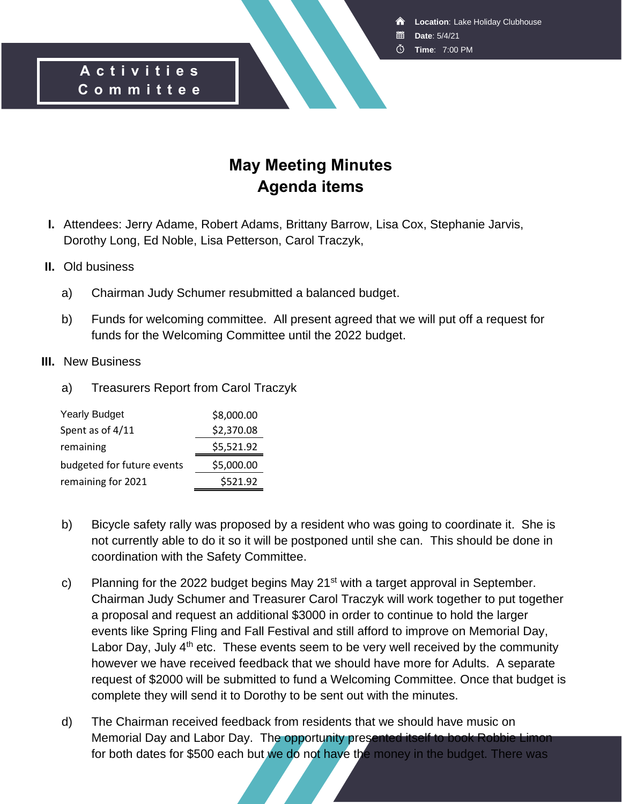- **Date**: 5/4/21
- **Time**: 7:00 PM

#### **A c t i v i t i e s C o m m i t t e e**

### **May Meeting Minutes Agenda items**

**I.** Attendees: Jerry Adame, Robert Adams, Brittany Barrow, Lisa Cox, Stephanie Jarvis, Dorothy Long, Ed Noble, Lisa Petterson, Carol Traczyk,

#### **II.** Old business

- a) Chairman Judy Schumer resubmitted a balanced budget.
- b) Funds for welcoming committee. All present agreed that we will put off a request for funds for the Welcoming Committee until the 2022 budget.

#### **III.** New Business

a) Treasurers Report from Carol Traczyk

| <b>Yearly Budget</b>       | \$8,000.00 |
|----------------------------|------------|
| Spent as of 4/11           | \$2,370.08 |
| remaining                  | \$5,521.92 |
| budgeted for future events | \$5,000.00 |
| remaining for 2021         | \$521.92   |

- b) Bicycle safety rally was proposed by a resident who was going to coordinate it. She is not currently able to do it so it will be postponed until she can. This should be done in coordination with the Safety Committee.
- c) Planning for the 2022 budget begins May  $21^{st}$  with a target approval in September. Chairman Judy Schumer and Treasurer Carol Traczyk will work together to put together a proposal and request an additional \$3000 in order to continue to hold the larger events like Spring Fling and Fall Festival and still afford to improve on Memorial Day, Labor Day, July  $4<sup>th</sup>$  etc. These events seem to be very well received by the community however we have received feedback that we should have more for Adults. A separate request of \$2000 will be submitted to fund a Welcoming Committee. Once that budget is complete they will send it to Dorothy to be sent out with the minutes.
- d) The Chairman received feedback from residents that we should have music on Memorial Day and Labor Day. The opportunity presented itself to book Robbie Limon for both dates for \$500 each but we do not have the money in the budget. There was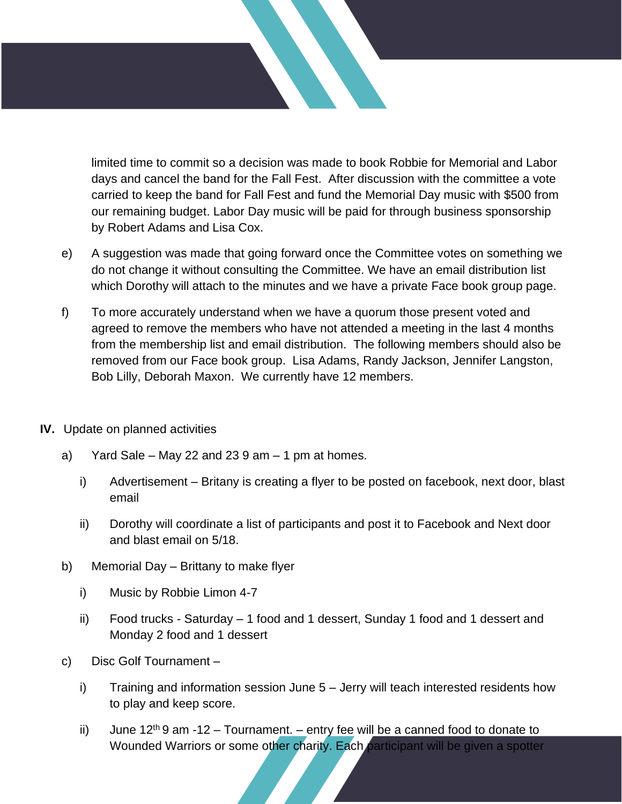limited time to commit so a decision was made to book Robbie for Memorial and Labor days and cancel the band for the Fall Fest. After discussion with the committee a vote carried to keep the band for Fall Fest and fund the Memorial Day music with \$500 from our remaining budget. Labor Day music will be paid for through business sponsorship by Robert Adams and Lisa Cox.

- e) A suggestion was made that going forward once the Committee votes on something we do not change it without consulting the Committee. We have an email distribution list which Dorothy will attach to the minutes and we have a private Face book group page.
- f) To more accurately understand when we have a quorum those present voted and agreed to remove the members who have not attended a meeting in the last 4 months from the membership list and email distribution. The following members should also be removed from our Face book group. Lisa Adams, Randy Jackson, Jennifer Langston, Bob Lilly, Deborah Maxon. We currently have 12 members.
- **IV.** Update on planned activities
	- a) Yard Sale May 22 and 23  $9$  am 1 pm at homes.
		- i) Advertisement Britany is creating a flyer to be posted on facebook, next door, blast email
		- ii) Dorothy will coordinate a list of participants and post it to Facebook and Next door and blast email on 5/18.
	- b) Memorial Day Brittany to make flyer
		- i) Music by Robbie Limon 4-7
		- ii) Food trucks Saturday 1 food and 1 dessert, Sunday 1 food and 1 dessert and Monday 2 food and 1 dessert
	- c) Disc Golf Tournament
		- i) Training and information session June 5 Jerry will teach interested residents how to play and keep score.
		- ii) June  $12<sup>th</sup>$  9 am -12 Tournament. entry fee will be a canned food to donate to Wounded Warriors or some other charity. Each participant will be given a spotter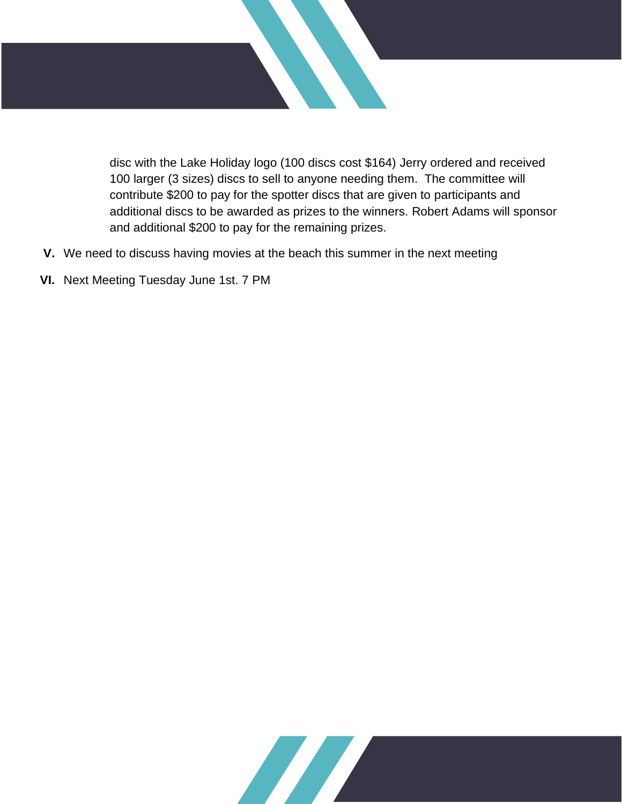

disc with the Lake Holiday logo (100 discs cost \$164) Jerry ordered and received 100 larger (3 sizes) discs to sell to anyone needing them. The committee will contribute \$200 to pay for the spotter discs that are given to participants and additional discs to be awarded as prizes to the winners. Robert Adams will sponsor and additional \$200 to pay for the remaining prizes.

- **V.** We need to discuss having movies at the beach this summer in the next meeting
- **VI.** Next Meeting Tuesday June 1st. 7 PM

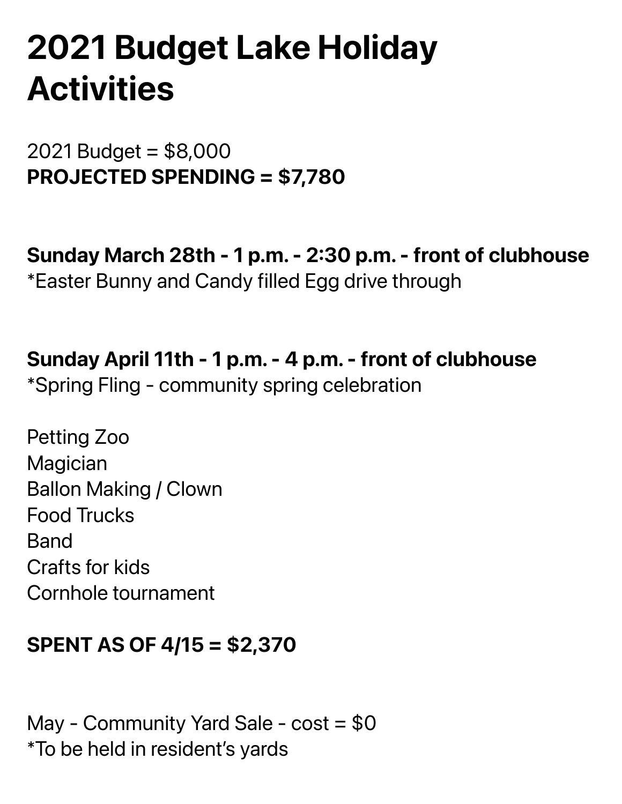# **2021 Budget Lake Holiday Activities**

2021 Budget = \$8,000 PROJECTED SPENDING = \$7,780

Sunday March 28th - 1 p.m. - 2:30 p.m. - front of clubhouse \*Easter Bunny and Candy filled Egg drive through

Sunday April 11th - 1 p.m. - 4 p.m. - front of clubhouse

\*Spring Fling - community spring celebration

Petting Zoo **Magician** Ballon Making / Clown Food Trucks Band Crafts for kids Cornhole tournament

### SPENT AS OF 4/15 = \$2,370

May - Community Yard Sale -  $cost = $0$ \*To be held in resident's yards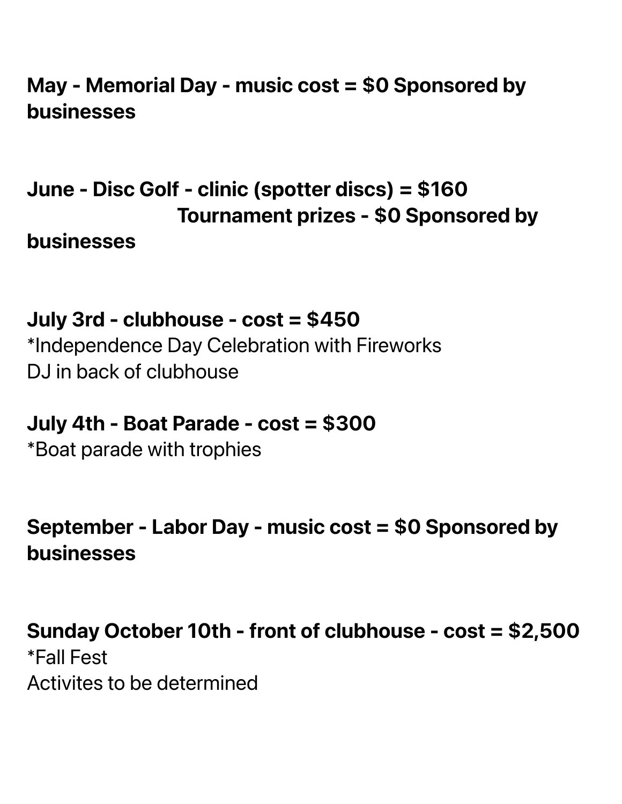### May - Memorial Day - music cost = \$0 Sponsored by businesses

## June - Disc Golf - clinic (spotter discs) = \$160 Tournament prizes - \$0 Sponsored by

businesses

### July 3rd - clubhouse - cost = \$450

\*Independence Day Celebration with Fireworks DJ in back of clubhouse

### July 4th - Boat Parade - cost = \$300

\*Boat parade with trophies

### September - Labor Day - music cost = \$0 Sponsored by businesses

### Sunday October 10th - front of clubhouse - cost = \$2,500

\*Fall Fest Activites to be determined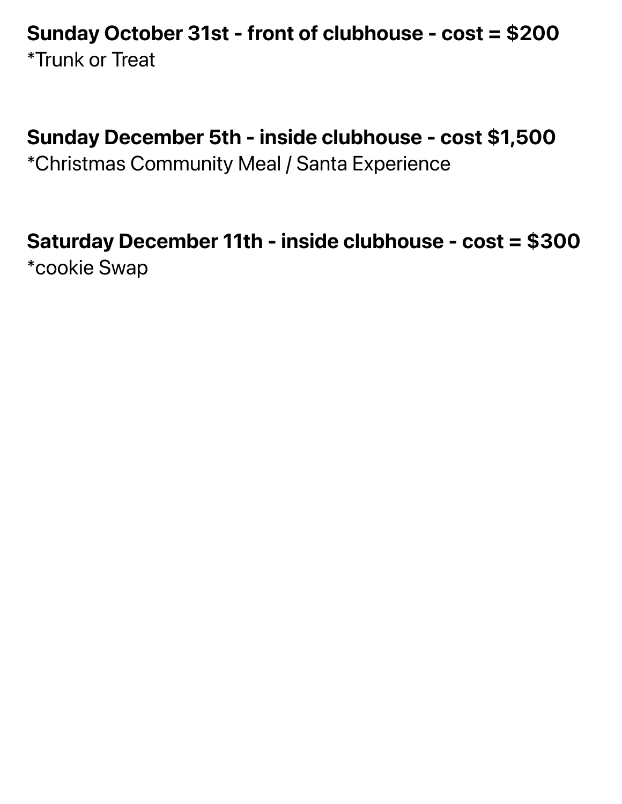### Sunday October 31st - front of clubhouse - cost = \$200 \*Trunk or Treat

### Sunday December 5th - inside clubhouse - cost \$1,500

\*Christmas Community Meal / Santa Experience

### Saturday December 11th - inside clubhouse - cost = \$300 \*cookie Swap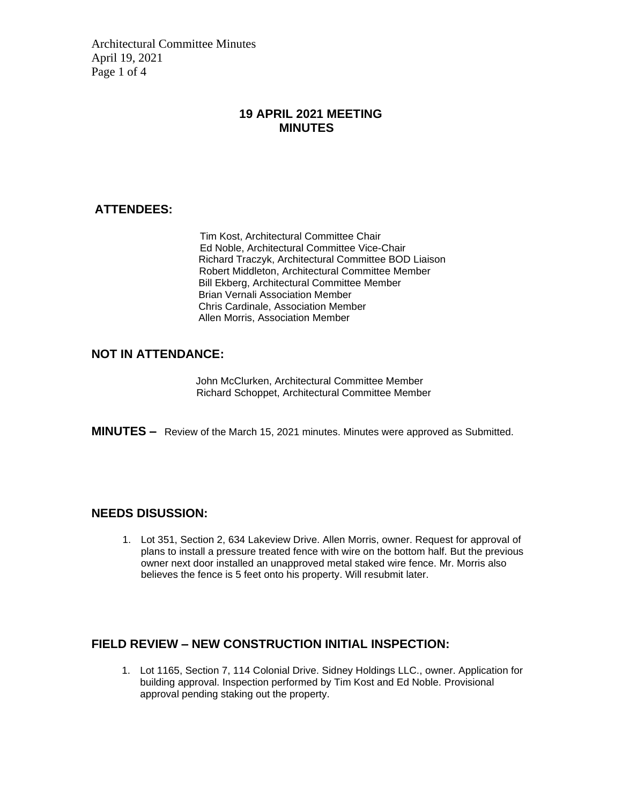Architectural Committee Minutes April 19, 2021 Page 1 of 4

#### **19 APRIL 2021 MEETING MINUTES**

#### **ATTENDEES:**

Tim Kost, Architectural Committee Chair Ed Noble, Architectural Committee Vice-Chair Richard Traczyk, Architectural Committee BOD Liaison Robert Middleton, Architectural Committee Member Bill Ekberg, Architectural Committee Member Brian Vernali Association Member Chris Cardinale, Association Member Allen Morris, Association Member

#### **NOT IN ATTENDANCE:**

John McClurken, Architectural Committee Member Richard Schoppet, Architectural Committee Member

**MINUTES –** Review of the March 15, 2021 minutes. Minutes were approved as Submitted.

#### **NEEDS DISUSSION:**

1. Lot 351, Section 2, 634 Lakeview Drive. Allen Morris, owner. Request for approval of plans to install a pressure treated fence with wire on the bottom half. But the previous owner next door installed an unapproved metal staked wire fence. Mr. Morris also believes the fence is 5 feet onto his property. Will resubmit later.

#### **FIELD REVIEW – NEW CONSTRUCTION INITIAL INSPECTION:**

1. Lot 1165, Section 7, 114 Colonial Drive. Sidney Holdings LLC., owner. Application for building approval. Inspection performed by Tim Kost and Ed Noble. Provisional approval pending staking out the property.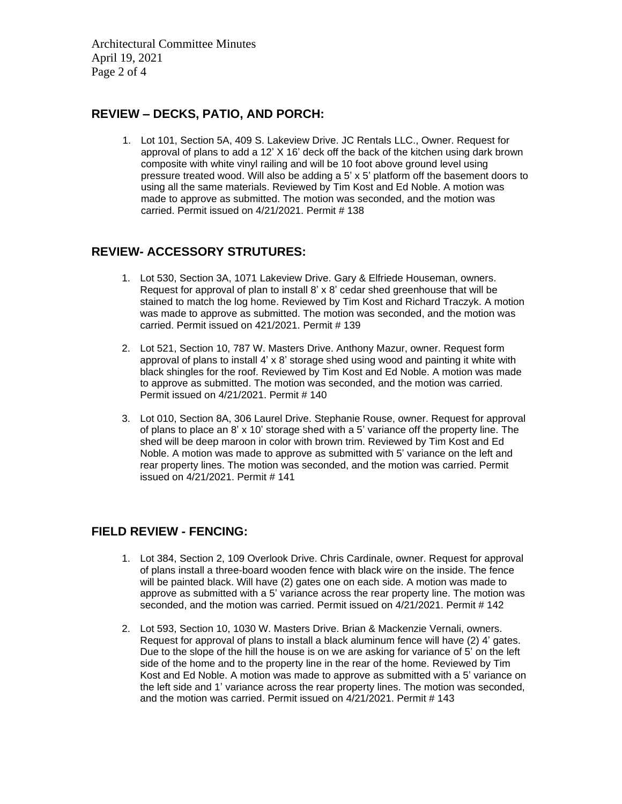Architectural Committee Minutes April 19, 2021 Page 2 of 4

#### **REVIEW – DECKS, PATIO, AND PORCH:**

1. Lot 101, Section 5A, 409 S. Lakeview Drive. JC Rentals LLC., Owner. Request for approval of plans to add a 12' X 16' deck off the back of the kitchen using dark brown composite with white vinyl railing and will be 10 foot above ground level using pressure treated wood. Will also be adding a 5' x 5' platform off the basement doors to using all the same materials. Reviewed by Tim Kost and Ed Noble. A motion was made to approve as submitted. The motion was seconded, and the motion was carried. Permit issued on 4/21/2021. Permit # 138

#### **REVIEW- ACCESSORY STRUTURES:**

- 1. Lot 530, Section 3A, 1071 Lakeview Drive. Gary & Elfriede Houseman, owners. Request for approval of plan to install 8' x 8' cedar shed greenhouse that will be stained to match the log home. Reviewed by Tim Kost and Richard Traczyk. A motion was made to approve as submitted. The motion was seconded, and the motion was carried. Permit issued on 421/2021. Permit # 139
- 2. Lot 521, Section 10, 787 W. Masters Drive. Anthony Mazur, owner. Request form approval of plans to install 4' x 8' storage shed using wood and painting it white with black shingles for the roof. Reviewed by Tim Kost and Ed Noble. A motion was made to approve as submitted. The motion was seconded, and the motion was carried. Permit issued on 4/21/2021. Permit # 140
- 3. Lot 010, Section 8A, 306 Laurel Drive. Stephanie Rouse, owner. Request for approval of plans to place an 8' x 10' storage shed with a 5' variance off the property line. The shed will be deep maroon in color with brown trim. Reviewed by Tim Kost and Ed Noble. A motion was made to approve as submitted with 5' variance on the left and rear property lines. The motion was seconded, and the motion was carried. Permit issued on 4/21/2021. Permit # 141

#### **FIELD REVIEW - FENCING:**

- 1. Lot 384, Section 2, 109 Overlook Drive. Chris Cardinale, owner. Request for approval of plans install a three-board wooden fence with black wire on the inside. The fence will be painted black. Will have (2) gates one on each side. A motion was made to approve as submitted with a 5' variance across the rear property line. The motion was seconded, and the motion was carried. Permit issued on 4/21/2021. Permit # 142
- 2. Lot 593, Section 10, 1030 W. Masters Drive. Brian & Mackenzie Vernali, owners. Request for approval of plans to install a black aluminum fence will have (2) 4' gates. Due to the slope of the hill the house is on we are asking for variance of 5' on the left side of the home and to the property line in the rear of the home. Reviewed by Tim Kost and Ed Noble. A motion was made to approve as submitted with a 5' variance on the left side and 1' variance across the rear property lines. The motion was seconded, and the motion was carried. Permit issued on 4/21/2021. Permit # 143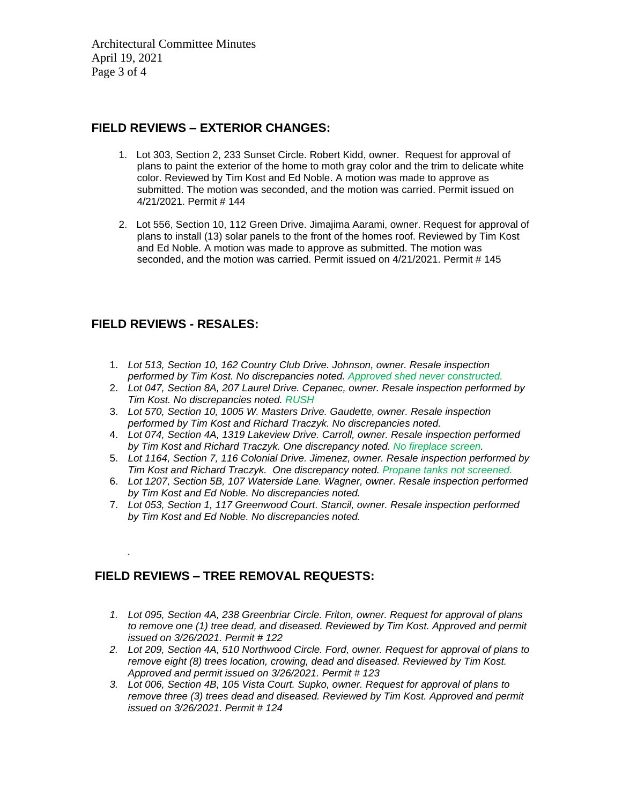Architectural Committee Minutes April 19, 2021 Page 3 of 4

#### **FIELD REVIEWS – EXTERIOR CHANGES:**

- 1. Lot 303, Section 2, 233 Sunset Circle. Robert Kidd, owner. Request for approval of plans to paint the exterior of the home to moth gray color and the trim to delicate white color. Reviewed by Tim Kost and Ed Noble. A motion was made to approve as submitted. The motion was seconded, and the motion was carried. Permit issued on 4/21/2021. Permit # 144
- 2. Lot 556, Section 10, 112 Green Drive. Jimajima Aarami, owner. Request for approval of plans to install (13) solar panels to the front of the homes roof. Reviewed by Tim Kost and Ed Noble. A motion was made to approve as submitted. The motion was seconded, and the motion was carried. Permit issued on 4/21/2021. Permit # 145

#### **FIELD REVIEWS - RESALES:**

*.*

- 1. *Lot 513, Section 10, 162 Country Club Drive. Johnson, owner. Resale inspection performed by Tim Kost. No discrepancies noted. Approved shed never constructed.*
- 2. *Lot 047, Section 8A, 207 Laurel Drive. Cepanec, owner. Resale inspection performed by Tim Kost. No discrepancies noted. RUSH*
- 3. *Lot 570, Section 10, 1005 W. Masters Drive. Gaudette, owner. Resale inspection performed by Tim Kost and Richard Traczyk. No discrepancies noted.*
- 4. *Lot 074, Section 4A, 1319 Lakeview Drive. Carroll, owner. Resale inspection performed by Tim Kost and Richard Traczyk. One discrepancy noted. No fireplace screen.*
- 5. *Lot 1164, Section 7, 116 Colonial Drive. Jimenez, owner. Resale inspection performed by Tim Kost and Richard Traczyk. One discrepancy noted. Propane tanks not screened.*
- 6. *Lot 1207, Section 5B, 107 Waterside Lane. Wagner, owner. Resale inspection performed by Tim Kost and Ed Noble. No discrepancies noted.*
- 7. *Lot 053, Section 1, 117 Greenwood Court. Stancil, owner. Resale inspection performed by Tim Kost and Ed Noble. No discrepancies noted.*

#### **FIELD REVIEWS – TREE REMOVAL REQUESTS:**

- *1. Lot 095, Section 4A, 238 Greenbriar Circle. Friton, owner. Request for approval of plans to remove one (1) tree dead, and diseased. Reviewed by Tim Kost. Approved and permit issued on 3/26/2021. Permit # 122*
- *2. Lot 209, Section 4A, 510 Northwood Circle. Ford, owner. Request for approval of plans to remove eight (8) trees location, crowing, dead and diseased. Reviewed by Tim Kost. Approved and permit issued on 3/26/2021. Permit # 123*
- *3. Lot 006, Section 4B, 105 Vista Court. Supko, owner. Request for approval of plans to remove three (3) trees dead and diseased. Reviewed by Tim Kost. Approved and permit issued on 3/26/2021. Permit # 124*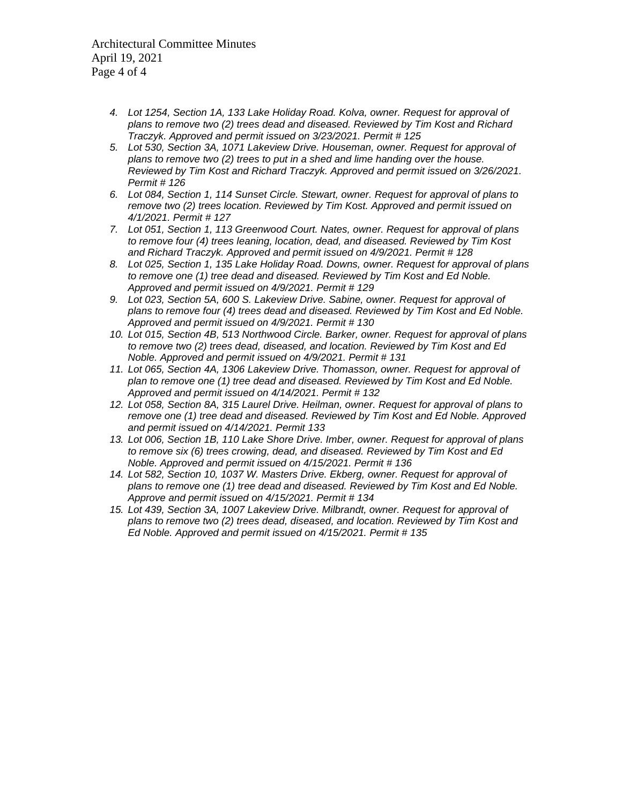Architectural Committee Minutes April 19, 2021 Page 4 of 4

- *4. Lot 1254, Section 1A, 133 Lake Holiday Road. Kolva, owner. Request for approval of plans to remove two (2) trees dead and diseased. Reviewed by Tim Kost and Richard Traczyk. Approved and permit issued on 3/23/2021. Permit # 125*
- *5. Lot 530, Section 3A, 1071 Lakeview Drive. Houseman, owner. Request for approval of plans to remove two (2) trees to put in a shed and lime handing over the house. Reviewed by Tim Kost and Richard Traczyk. Approved and permit issued on 3/26/2021. Permit # 126*
- *6. Lot 084, Section 1, 114 Sunset Circle. Stewart, owner. Request for approval of plans to remove two (2) trees location. Reviewed by Tim Kost. Approved and permit issued on 4/1/2021. Permit # 127*
- *7. Lot 051, Section 1, 113 Greenwood Court. Nates, owner. Request for approval of plans to remove four (4) trees leaning, location, dead, and diseased. Reviewed by Tim Kost and Richard Traczyk. Approved and permit issued on 4/9/2021. Permit # 128*
- *8. Lot 025, Section 1, 135 Lake Holiday Road. Downs, owner. Request for approval of plans to remove one (1) tree dead and diseased. Reviewed by Tim Kost and Ed Noble. Approved and permit issued on 4/9/2021. Permit # 129*
- *9. Lot 023, Section 5A, 600 S. Lakeview Drive. Sabine, owner. Request for approval of plans to remove four (4) trees dead and diseased. Reviewed by Tim Kost and Ed Noble. Approved and permit issued on 4/9/2021. Permit # 130*
- *10. Lot 015, Section 4B, 513 Northwood Circle. Barker, owner. Request for approval of plans to remove two (2) trees dead, diseased, and location. Reviewed by Tim Kost and Ed Noble. Approved and permit issued on 4/9/2021. Permit # 131*
- *11. Lot 065, Section 4A, 1306 Lakeview Drive. Thomasson, owner. Request for approval of plan to remove one (1) tree dead and diseased. Reviewed by Tim Kost and Ed Noble. Approved and permit issued on 4/14/2021. Permit # 132*
- *12. Lot 058, Section 8A, 315 Laurel Drive. Heilman, owner. Request for approval of plans to remove one (1) tree dead and diseased. Reviewed by Tim Kost and Ed Noble. Approved and permit issued on 4/14/2021. Permit 133*
- *13. Lot 006, Section 1B, 110 Lake Shore Drive. Imber, owner. Request for approval of plans to remove six (6) trees crowing, dead, and diseased. Reviewed by Tim Kost and Ed Noble. Approved and permit issued on 4/15/2021. Permit # 136*
- *14. Lot 582, Section 10, 1037 W. Masters Drive. Ekberg, owner. Request for approval of plans to remove one (1) tree dead and diseased. Reviewed by Tim Kost and Ed Noble. Approve and permit issued on 4/15/2021. Permit # 134*
- *15. Lot 439, Section 3A, 1007 Lakeview Drive. Milbrandt, owner. Request for approval of plans to remove two (2) trees dead, diseased, and location. Reviewed by Tim Kost and Ed Noble. Approved and permit issued on 4/15/2021. Permit # 135*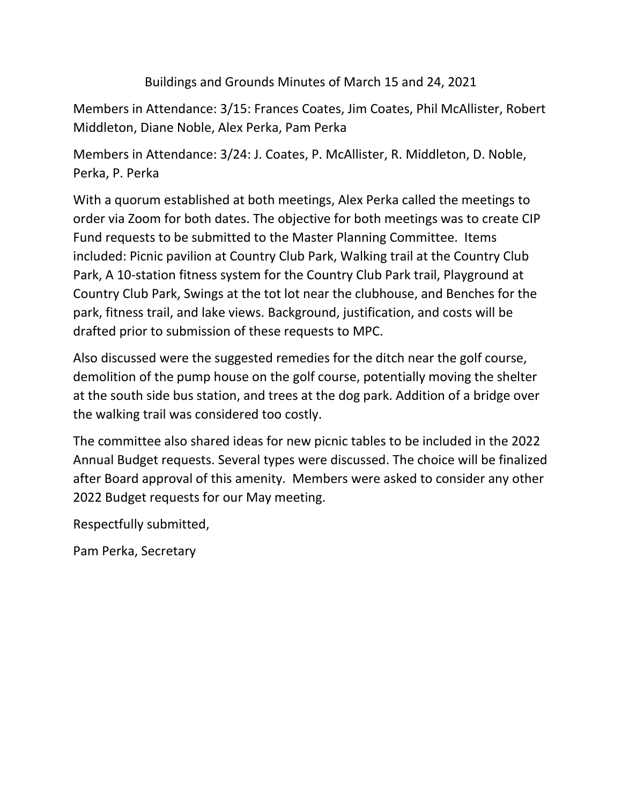Buildings and Grounds Minutes of March 15 and 24, 2021

Members in Attendance: 3/15: Frances Coates, Jim Coates, Phil McAllister, Robert Middleton, Diane Noble, Alex Perka, Pam Perka

Members in Attendance: 3/24: J. Coates, P. McAllister, R. Middleton, D. Noble, Perka, P. Perka

With a quorum established at both meetings, Alex Perka called the meetings to order via Zoom for both dates. The objective for both meetings was to create CIP Fund requests to be submitted to the Master Planning Committee. Items included: Picnic pavilion at Country Club Park, Walking trail at the Country Club Park, A 10-station fitness system for the Country Club Park trail, Playground at Country Club Park, Swings at the tot lot near the clubhouse, and Benches for the park, fitness trail, and lake views. Background, justification, and costs will be drafted prior to submission of these requests to MPC.

Also discussed were the suggested remedies for the ditch near the golf course, demolition of the pump house on the golf course, potentially moving the shelter at the south side bus station, and trees at the dog park. Addition of a bridge over the walking trail was considered too costly.

The committee also shared ideas for new picnic tables to be included in the 2022 Annual Budget requests. Several types were discussed. The choice will be finalized after Board approval of this amenity. Members were asked to consider any other 2022 Budget requests for our May meeting.

Respectfully submitted,

Pam Perka, Secretary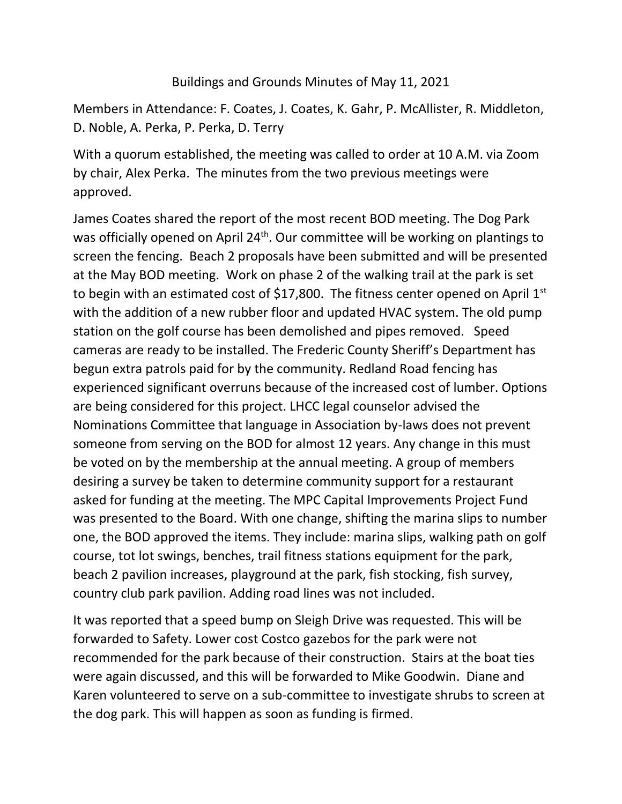#### Buildings and Grounds Minutes of May 11, 2021

Members in Attendance: F. Coates, J. Coates, K. Gahr, P. McAllister, R. Middleton, D. Noble, A. Perka, P. Perka, D. Terry

With a quorum established, the meeting was called to order at 10 A.M. via Zoom by chair, Alex Perka. The minutes from the two previous meetings were approved.

James Coates shared the report of the most recent BOD meeting. The Dog Park was officially opened on April 24<sup>th</sup>. Our committee will be working on plantings to screen the fencing. Beach 2 proposals have been submitted and will be presented at the May BOD meeting. Work on phase 2 of the walking trail at the park is set to begin with an estimated cost of \$17,800. The fitness center opened on April  $1<sup>st</sup>$ with the addition of a new rubber floor and updated HVAC system. The old pump station on the golf course has been demolished and pipes removed. Speed cameras are ready to be installed. The Frederic County Sheriff's Department has begun extra patrols paid for by the community. Redland Road fencing has experienced significant overruns because of the increased cost of lumber. Options are being considered for this project. LHCC legal counselor advised the Nominations Committee that language in Association by-laws does not prevent someone from serving on the BOD for almost 12 years. Any change in this must be voted on by the membership at the annual meeting. A group of members desiring a survey be taken to determine community support for a restaurant asked for funding at the meeting. The MPC Capital Improvements Project Fund was presented to the Board. With one change, shifting the marina slips to number one, the BOD approved the items. They include: marina slips, walking path on golf course, tot lot swings, benches, trail fitness stations equipment for the park, beach 2 pavilion increases, playground at the park, fish stocking, fish survey, country club park pavilion. Adding road lines was not included.

It was reported that a speed bump on Sleigh Drive was requested. This will be forwarded to Safety. Lower cost Costco gazebos for the park were not recommended for the park because of their construction. Stairs at the boat ties were again discussed, and this will be forwarded to Mike Goodwin. Diane and Karen volunteered to serve on a sub-committee to investigate shrubs to screen at the dog park. This will happen as soon as funding is firmed.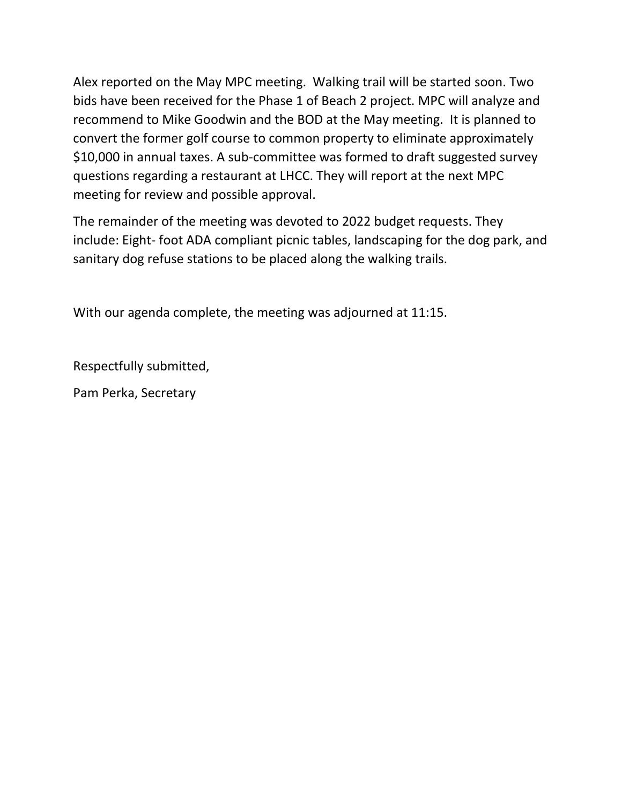Alex reported on the May MPC meeting. Walking trail will be started soon. Two bids have been received for the Phase 1 of Beach 2 project. MPC will analyze and recommend to Mike Goodwin and the BOD at the May meeting. It is planned to convert the former golf course to common property to eliminate approximately \$10,000 in annual taxes. A sub-committee was formed to draft suggested survey questions regarding a restaurant at LHCC. They will report at the next MPC meeting for review and possible approval.

The remainder of the meeting was devoted to 2022 budget requests. They include: Eight- foot ADA compliant picnic tables, landscaping for the dog park, and sanitary dog refuse stations to be placed along the walking trails.

With our agenda complete, the meeting was adjourned at 11:15.

Respectfully submitted,

Pam Perka, Secretary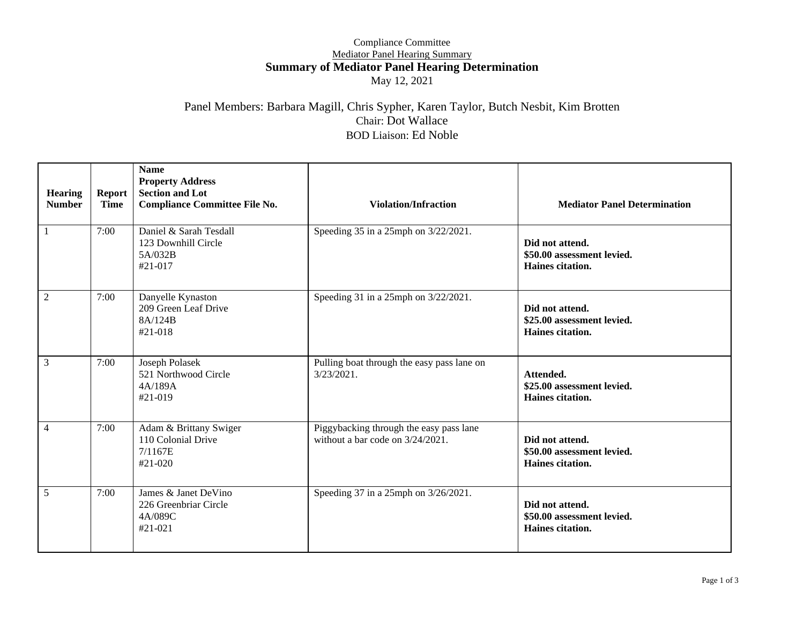#### Compliance Committee Mediator Panel Hearing Summary **Summary of Mediator Panel Hearing Determination** May 12, 2021

#### Panel Members: Barbara Magill, Chris Sypher, Karen Taylor, Butch Nesbit, Kim Brotten Chair: Dot Wallace BOD Liaison: Ed Noble

| <b>Hearing</b><br><b>Number</b> | <b>Report</b><br><b>Time</b> | <b>Name</b><br><b>Property Address</b><br><b>Section and Lot</b><br><b>Compliance Committee File No.</b> | <b>Violation/Infraction</b>                                                    | <b>Mediator Panel Determination</b>                               |  |
|---------------------------------|------------------------------|----------------------------------------------------------------------------------------------------------|--------------------------------------------------------------------------------|-------------------------------------------------------------------|--|
|                                 | 7:00                         | Daniel & Sarah Tesdall<br>123 Downhill Circle<br>5A/032B<br>$#21-017$                                    | Speeding 35 in a 25mph on 3/22/2021.                                           | Did not attend.<br>\$50.00 assessment levied.<br>Haines citation. |  |
| $\overline{2}$                  | 7:00                         | Danyelle Kynaston<br>209 Green Leaf Drive<br>8A/124B<br>#21-018                                          | Speeding 31 in a 25mph on 3/22/2021.                                           | Did not attend.<br>\$25.00 assessment levied.<br>Haines citation. |  |
| 3                               | 7:00                         | Joseph Polasek<br>521 Northwood Circle<br>4A/189A<br>$#21-019$                                           | Pulling boat through the easy pass lane on<br>$3/23/2021$ .                    | Attended.<br>\$25.00 assessment levied.<br>Haines citation.       |  |
| $\overline{4}$                  | 7:00                         | Adam & Brittany Swiger<br>110 Colonial Drive<br>7/1167E<br>#21-020                                       | Piggybacking through the easy pass lane<br>without a bar code on $3/24/2021$ . | Did not attend.<br>\$50.00 assessment levied.<br>Haines citation. |  |
| 5                               | 7:00                         | James & Janet DeVino<br>226 Greenbriar Circle<br>4A/089C<br>$#21-021$                                    | Speeding 37 in a 25mph on 3/26/2021.                                           | Did not attend.<br>\$50.00 assessment levied.<br>Haines citation. |  |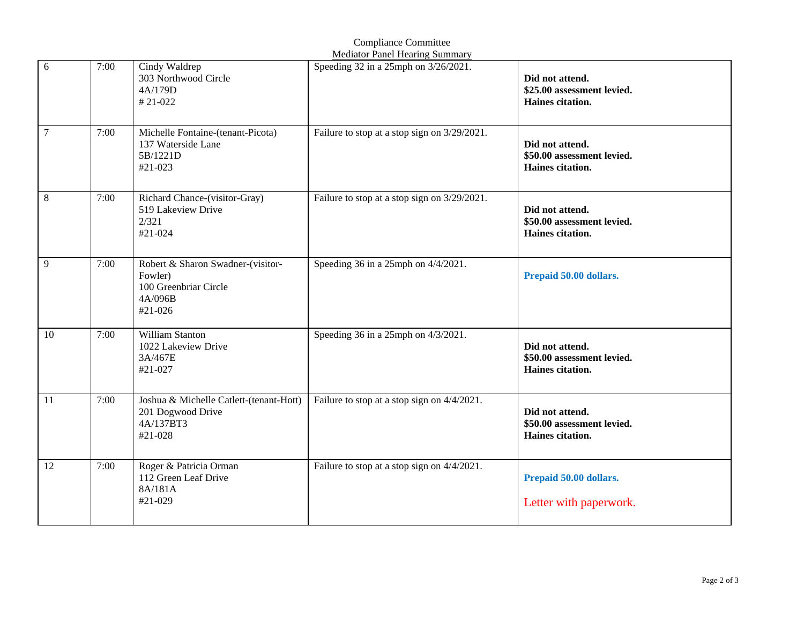|        | <b>Mediator Panel Hearing Summary</b> |                                                                                             |                                              |                                                                   |  |
|--------|---------------------------------------|---------------------------------------------------------------------------------------------|----------------------------------------------|-------------------------------------------------------------------|--|
| 6      | 7:00                                  | Cindy Waldrep<br>303 Northwood Circle<br>4A/179D<br>#21-022                                 | Speeding 32 in a 25mph on 3/26/2021.         | Did not attend.<br>\$25.00 assessment levied.<br>Haines citation. |  |
| $\tau$ | 7:00                                  | Michelle Fontaine-(tenant-Picota)<br>137 Waterside Lane<br>5B/1221D<br>#21-023              | Failure to stop at a stop sign on 3/29/2021. | Did not attend.<br>\$50.00 assessment levied.<br>Haines citation. |  |
| 8      | 7:00                                  | Richard Chance-(visitor-Gray)<br>519 Lakeview Drive<br>2/321<br>#21-024                     | Failure to stop at a stop sign on 3/29/2021. | Did not attend.<br>\$50.00 assessment levied.<br>Haines citation. |  |
| 9      | 7:00                                  | Robert & Sharon Swadner-(visitor-<br>Fowler)<br>100 Greenbriar Circle<br>4A/096B<br>#21-026 | Speeding 36 in a 25mph on $4/4/2021$ .       | Prepaid 50.00 dollars.                                            |  |
| 10     | 7:00                                  | William Stanton<br>1022 Lakeview Drive<br>3A/467E<br>#21-027                                | Speeding 36 in a 25mph on 4/3/2021.          | Did not attend.<br>\$50.00 assessment levied.<br>Haines citation. |  |
| 11     | 7:00                                  | Joshua & Michelle Catlett-(tenant-Hott)<br>201 Dogwood Drive<br>4A/137BT3<br>#21-028        | Failure to stop at a stop sign on 4/4/2021.  | Did not attend.<br>\$50.00 assessment levied.<br>Haines citation. |  |
| 12     | 7:00                                  | Roger & Patricia Orman<br>112 Green Leaf Drive<br>8A/181A<br>#21-029                        | Failure to stop at a stop sign on 4/4/2021.  | Prepaid 50.00 dollars.<br>Letter with paperwork.                  |  |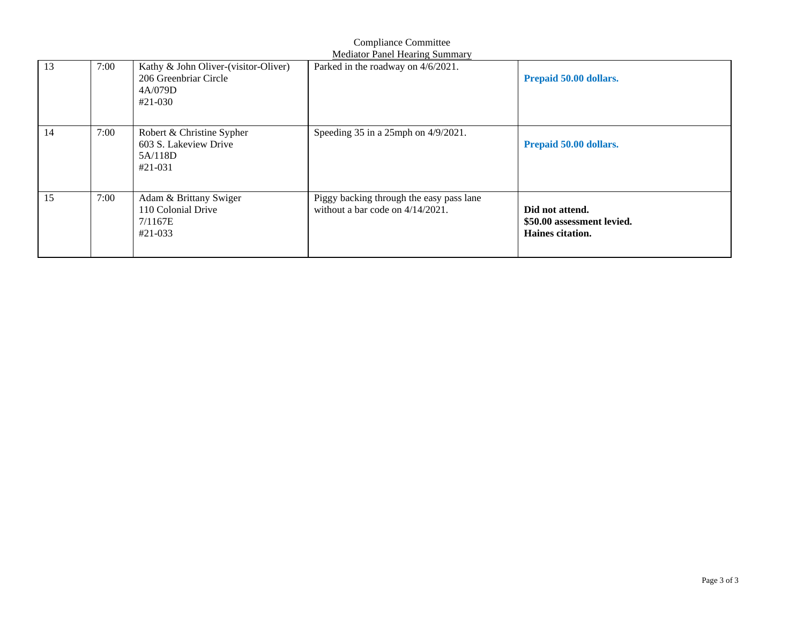|    | <b>Compliance Committee</b><br><b>Mediator Panel Hearing Summary</b> |                                                                                       |                                                                                 |                                                                   |
|----|----------------------------------------------------------------------|---------------------------------------------------------------------------------------|---------------------------------------------------------------------------------|-------------------------------------------------------------------|
| 13 | 7:00                                                                 | Kathy & John Oliver-(visitor-Oliver)<br>206 Greenbriar Circle<br>4A/079D<br>$#21-030$ | Parked in the roadway on 4/6/2021.                                              | Prepaid 50.00 dollars.                                            |
| 14 | 7:00                                                                 | Robert & Christine Sypher<br>603 S. Lakeview Drive<br>5A/118D<br>$#21-031$            | Speeding $35$ in a 25mph on $4/9/2021$ .                                        | Prepaid 50.00 dollars.                                            |
| 15 | 7:00                                                                 | Adam & Brittany Swiger<br>110 Colonial Drive<br>7/1167E<br>#21-033                    | Piggy backing through the easy pass lane<br>without a bar code on $4/14/2021$ . | Did not attend.<br>\$50.00 assessment levied.<br>Haines citation. |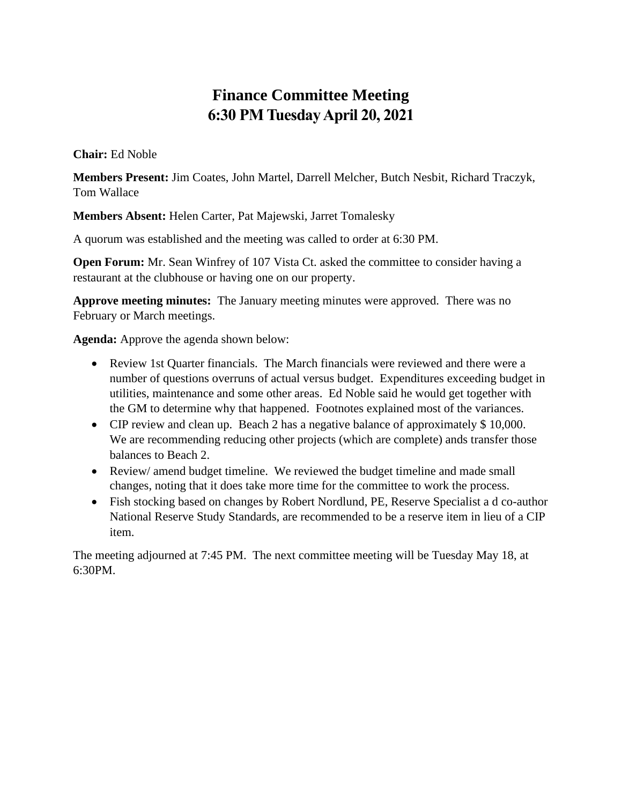### **Finance Committee Meeting 6:30 PM Tuesday April 20, 2021**

**Chair:** Ed Noble

**Members Present:** Jim Coates, John Martel, Darrell Melcher, Butch Nesbit, Richard Traczyk, Tom Wallace

**Members Absent:** Helen Carter, Pat Majewski, Jarret Tomalesky

A quorum was established and the meeting was called to order at 6:30 PM.

**Open Forum:** Mr. Sean Winfrey of 107 Vista Ct. asked the committee to consider having a restaurant at the clubhouse or having one on our property.

**Approve meeting minutes:** The January meeting minutes were approved. There was no February or March meetings.

**Agenda:** Approve the agenda shown below:

- Review 1st Quarter financials. The March financials were reviewed and there were a number of questions overruns of actual versus budget. Expenditures exceeding budget in utilities, maintenance and some other areas. Ed Noble said he would get together with the GM to determine why that happened. Footnotes explained most of the variances.
- CIP review and clean up. Beach 2 has a negative balance of approximately \$10,000. We are recommending reducing other projects (which are complete) ands transfer those balances to Beach 2.
- Review/ amend budget timeline. We reviewed the budget timeline and made small changes, noting that it does take more time for the committee to work the process.
- Fish stocking based on changes by Robert Nordlund, PE, Reserve Specialist a d co-author National Reserve Study Standards, are recommended to be a reserve item in lieu of a CIP item.

The meeting adjourned at 7:45 PM. The next committee meeting will be Tuesday May 18, at 6:30PM.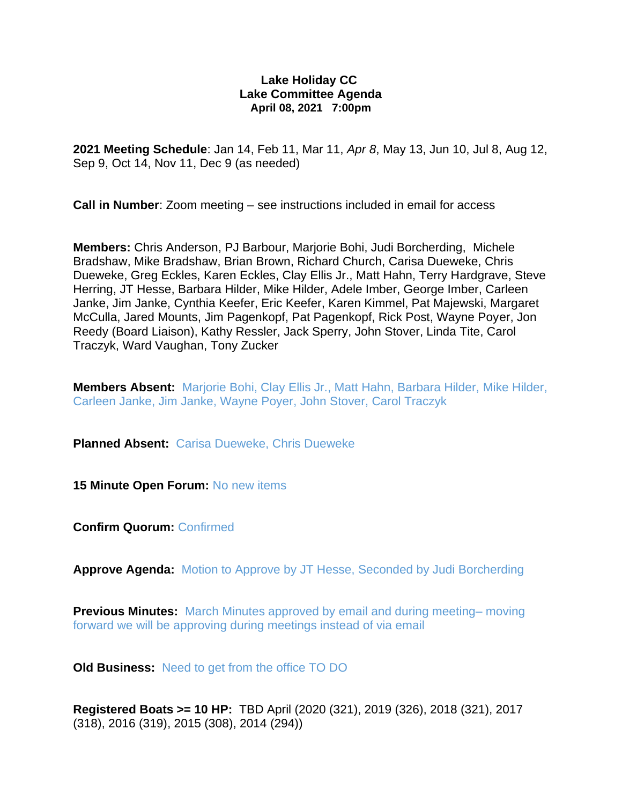#### **Lake Holiday CC Lake Committee Agenda April 08, 2021 7:00pm**

**2021 Meeting Schedule**: Jan 14, Feb 11, Mar 11, *Apr 8*, May 13, Jun 10, Jul 8, Aug 12, Sep 9, Oct 14, Nov 11, Dec 9 (as needed)

**Call in Number**: Zoom meeting – see instructions included in email for access

**Members:** Chris Anderson, PJ Barbour, Marjorie Bohi, Judi Borcherding, Michele Bradshaw, Mike Bradshaw, Brian Brown, Richard Church, Carisa Dueweke, Chris Dueweke, Greg Eckles, Karen Eckles, Clay Ellis Jr., Matt Hahn, Terry Hardgrave, Steve Herring, JT Hesse, Barbara Hilder, Mike Hilder, Adele Imber, George Imber, Carleen Janke, Jim Janke, Cynthia Keefer, Eric Keefer, Karen Kimmel, Pat Majewski, Margaret McCulla, Jared Mounts, Jim Pagenkopf, Pat Pagenkopf, Rick Post, Wayne Poyer, Jon Reedy (Board Liaison), Kathy Ressler, Jack Sperry, John Stover, Linda Tite, Carol Traczyk, Ward Vaughan, Tony Zucker

**Members Absent:** Marjorie Bohi, Clay Ellis Jr., Matt Hahn, Barbara Hilder, Mike Hilder, Carleen Janke, Jim Janke, Wayne Poyer, John Stover, Carol Traczyk

**Planned Absent:** Carisa Dueweke, Chris Dueweke

**15 Minute Open Forum: No new items** 

**Confirm Quorum:** Confirmed

**Approve Agenda:** Motion to Approve by JT Hesse, Seconded by Judi Borcherding

**Previous Minutes:** March Minutes approved by email and during meeting– moving forward we will be approving during meetings instead of via email

**Old Business:** Need to get from the office TO DO

**Registered Boats >= 10 HP:** TBD April (2020 (321), 2019 (326), 2018 (321), 2017 (318), 2016 (319), 2015 (308), 2014 (294))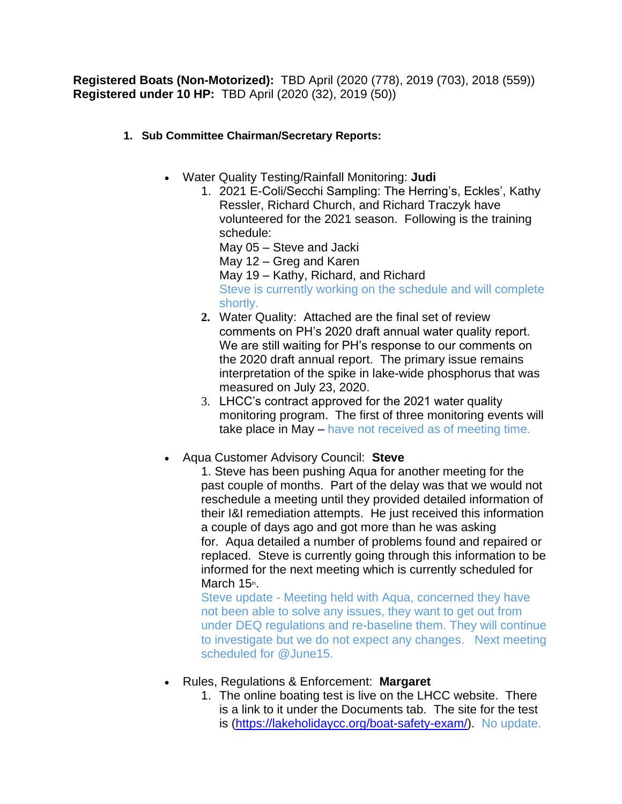**Registered Boats (Non-Motorized):** TBD April (2020 (778), 2019 (703), 2018 (559)) **Registered under 10 HP:** TBD April (2020 (32), 2019 (50))

#### **1. Sub Committee Chairman/Secretary Reports:**

- Water Quality Testing/Rainfall Monitoring: **Judi**
	- 1. 2021 E-Coli/Secchi Sampling: The Herring's, Eckles', Kathy Ressler, Richard Church, and Richard Traczyk have volunteered for the 2021 season. Following is the training schedule: May 05 – Steve and Jacki

May 12 – Greg and Karen

May 19 – Kathy, Richard, and Richard

Steve is currently working on the schedule and will complete shortly.

- **2.** Water Quality: Attached are the final set of review comments on PH's 2020 draft annual water quality report. We are still waiting for PH's response to our comments on the 2020 draft annual report. The primary issue remains interpretation of the spike in lake-wide phosphorus that was measured on July 23, 2020.
- 3. LHCC's contract approved for the 2021 water quality monitoring program. The first of three monitoring events will take place in May – have not received as of meeting time.
- Aqua Customer Advisory Council: **Steve**

1. Steve has been pushing Aqua for another meeting for the past couple of months. Part of the delay was that we would not reschedule a meeting until they provided detailed information of their I&I remediation attempts. He just received this information a couple of days ago and got more than he was asking for. Aqua detailed a number of problems found and repaired or replaced. Steve is currently going through this information to be informed for the next meeting which is currently scheduled for March 15th.

Steve update - Meeting held with Aqua, concerned they have not been able to solve any issues, they want to get out from under DEQ regulations and re-baseline them. They will continue to investigate but we do not expect any changes. Next meeting scheduled for @June15.

- Rules, Regulations & Enforcement: **Margaret**
	- 1. The online boating test is live on the LHCC website. There is a link to it under the Documents tab. The site for the test is [\(https://lakeholidaycc.org/boat-safety-exam/\)](https://urldefense.proofpoint.com/v2/url?u=https-3A__lakeholidaycc.org_boat-2Dsafety-2Dexam_&d=DwMFaQ&c=udBTRvFvXC5Dhqg7UHpJlPps3mZ3LRxpb6__0PomBTQ&r=ncKjNfRTTSWreIOn-fIhBXlwgChIPnFxyWVygtyTUgQ&m=c-HBWggUXqSGL41_XYSZgtxt4J1KTOqlouwNgcZ2VOw&s=L5SWRBTbyIBCLbCRJKgr8EE6_cQaUoqyOw009NhHCfk&e=). No update.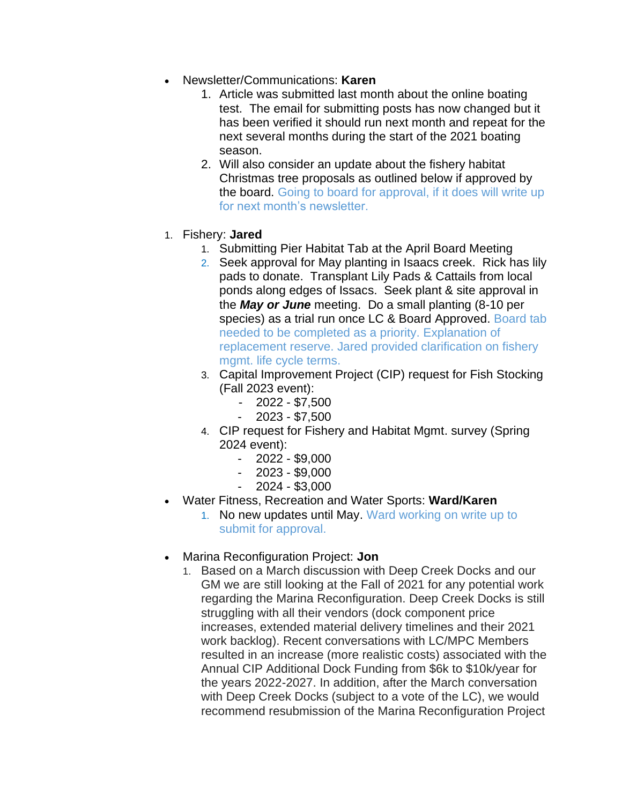- Newsletter/Communications: **Karen**
	- 1. Article was submitted last month about the online boating test. The email for submitting posts has now changed but it has been verified it should run next month and repeat for the next several months during the start of the 2021 boating season.
	- 2. Will also consider an update about the fishery habitat Christmas tree proposals as outlined below if approved by the board. Going to board for approval, if it does will write up for next month's newsletter.
- 1. Fishery: **Jared**
	- 1. Submitting Pier Habitat Tab at the April Board Meeting
	- 2. Seek approval for May planting in Isaacs creek. Rick has lily pads to donate. Transplant Lily Pads & Cattails from local ponds along edges of Issacs. Seek plant & site approval in the *May or June* meeting. Do a small planting (8-10 per species) as a trial run once LC & Board Approved. Board tab needed to be completed as a priority. Explanation of replacement reserve. Jared provided clarification on fishery mgmt. life cycle terms.
	- 3. Capital Improvement Project (CIP) request for Fish Stocking (Fall 2023 event):
		- 2022 \$7,500
		- 2023 \$7,500
	- 4. CIP request for Fishery and Habitat Mgmt. survey (Spring 2024 event):
		- 2022 \$9,000
		- 2023 \$9,000
		- 2024 \$3,000
- Water Fitness, Recreation and Water Sports: **Ward/Karen** 
	- 1. No new updates until May. Ward working on write up to submit for approval.
- Marina Reconfiguration Project: **Jon**
	- 1. Based on a March discussion with Deep Creek Docks and our GM we are still looking at the Fall of 2021 for any potential work regarding the Marina Reconfiguration. Deep Creek Docks is still struggling with all their vendors (dock component price increases, extended material delivery timelines and their 2021 work backlog). Recent conversations with LC/MPC Members resulted in an increase (more realistic costs) associated with the Annual CIP Additional Dock Funding from \$6k to \$10k/year for the years 2022-2027. In addition, after the March conversation with Deep Creek Docks (subject to a vote of the LC), we would recommend resubmission of the Marina Reconfiguration Project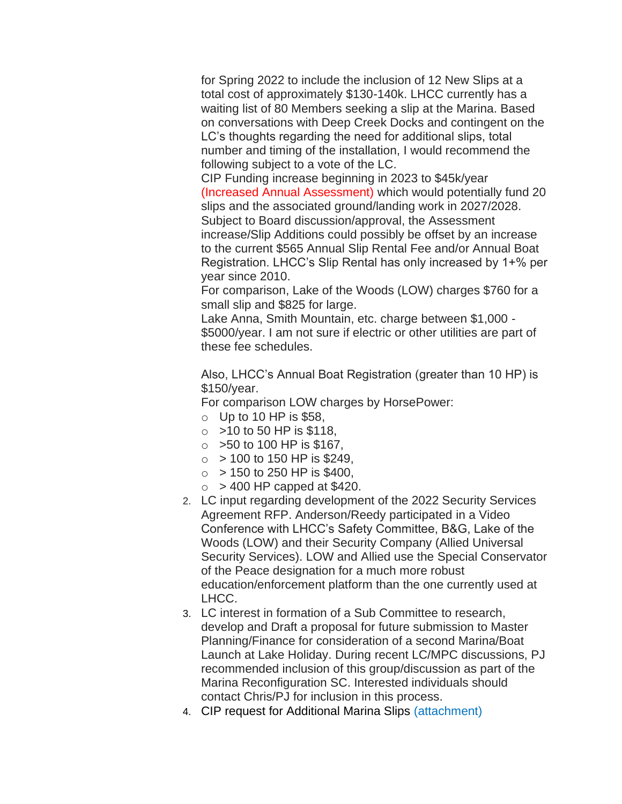for Spring 2022 to include the inclusion of 12 New Slips at a total cost of approximately \$130-140k. LHCC currently has a waiting list of 80 Members seeking a slip at the Marina. Based on conversations with Deep Creek Docks and contingent on the LC's thoughts regarding the need for additional slips, total number and timing of the installation, I would recommend the following subject to a vote of the LC.

CIP Funding increase beginning in 2023 to \$45k/year (Increased Annual Assessment) which would potentially fund 20 slips and the associated ground/landing work in 2027/2028. Subject to Board discussion/approval, the Assessment increase/Slip Additions could possibly be offset by an increase to the current \$565 Annual Slip Rental Fee and/or Annual Boat Registration. LHCC's Slip Rental has only increased by 1+% per year since 2010.

For comparison, Lake of the Woods (LOW) charges \$760 for a small slip and \$825 for large.

Lake Anna, Smith Mountain, etc. charge between \$1,000 - \$5000/year. I am not sure if electric or other utilities are part of these fee schedules.

Also, LHCC's Annual Boat Registration (greater than 10 HP) is \$150/year.

For comparison LOW charges by HorsePower:

- $\circ$  Up to 10 HP is \$58,
- $\circ$  > 10 to 50 HP is \$118,
- $\circ$  > 50 to 100 HP is \$167,
- $\circ$  > 100 to 150 HP is \$249.
- $\circ$  > 150 to 250 HP is \$400,
- $\circ$  > 400 HP capped at \$420.
- 2. LC input regarding development of the 2022 Security Services Agreement RFP. Anderson/Reedy participated in a Video Conference with LHCC's Safety Committee, B&G, Lake of the Woods (LOW) and their Security Company (Allied Universal Security Services). LOW and Allied use the Special Conservator of the Peace designation for a much more robust education/enforcement platform than the one currently used at LHCC.
- 3. LC interest in formation of a Sub Committee to research, develop and Draft a proposal for future submission to Master Planning/Finance for consideration of a second Marina/Boat Launch at Lake Holiday. During recent LC/MPC discussions, PJ recommended inclusion of this group/discussion as part of the Marina Reconfiguration SC. Interested individuals should contact Chris/PJ for inclusion in this process.
- 4. CIP request for Additional Marina Slips (attachment)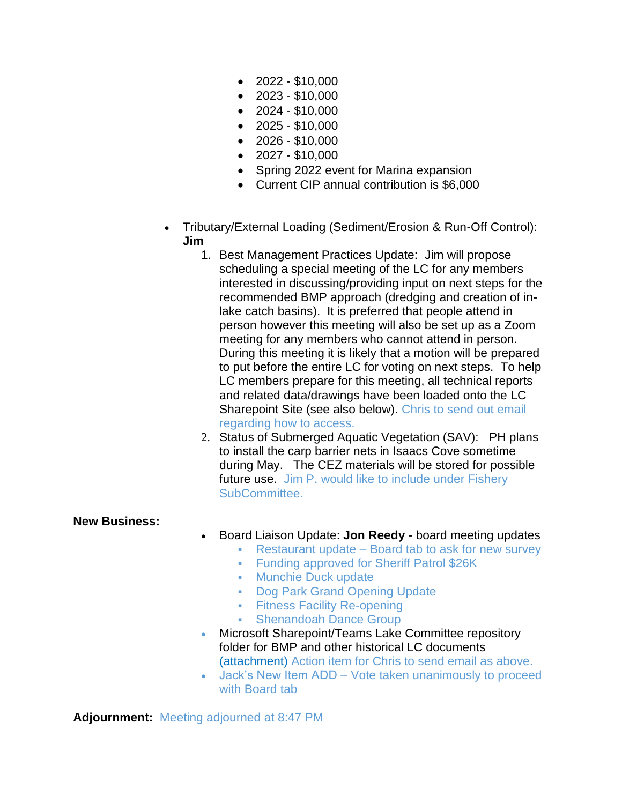- $\bullet$  2022 \$10,000
- $\bullet$  2023 \$10,000
- $\bullet$  2024 \$10,000
- $\bullet$  2025 \$10,000
- $\bullet$  2026 \$10,000
- $\bullet$  2027 \$10,000
- Spring 2022 event for Marina expansion
- Current CIP annual contribution is \$6,000
- Tributary/External Loading (Sediment/Erosion & Run-Off Control): **Jim**
	- 1. Best Management Practices Update: Jim will propose scheduling a special meeting of the LC for any members interested in discussing/providing input on next steps for the recommended BMP approach (dredging and creation of inlake catch basins). It is preferred that people attend in person however this meeting will also be set up as a Zoom meeting for any members who cannot attend in person. During this meeting it is likely that a motion will be prepared to put before the entire LC for voting on next steps. To help LC members prepare for this meeting, all technical reports and related data/drawings have been loaded onto the LC Sharepoint Site (see also below). Chris to send out email regarding how to access.
	- 2. Status of Submerged Aquatic Vegetation (SAV): PH plans to install the carp barrier nets in Isaacs Cove sometime during May. The CEZ materials will be stored for possible future use. Jim P. would like to include under Fishery SubCommittee.

#### **New Business:**

- Board Liaison Update: **Jon Reedy** board meeting updates
	- Restaurant update Board tab to ask for new survey
	- **Funding approved for Sheriff Patrol \$26K**
	- Munchie Duck update
	- Dog Park Grand Opening Update
	- **Exercisive Facility Re-opening**
	- Shenandoah Dance Group
- Microsoft Sharepoint/Teams Lake Committee repository folder for BMP and other historical LC documents (attachment) Action item for Chris to send email as above.
- Jack's New Item ADD Vote taken unanimously to proceed with Board tab

**Adjournment:** Meeting adjourned at 8:47 PM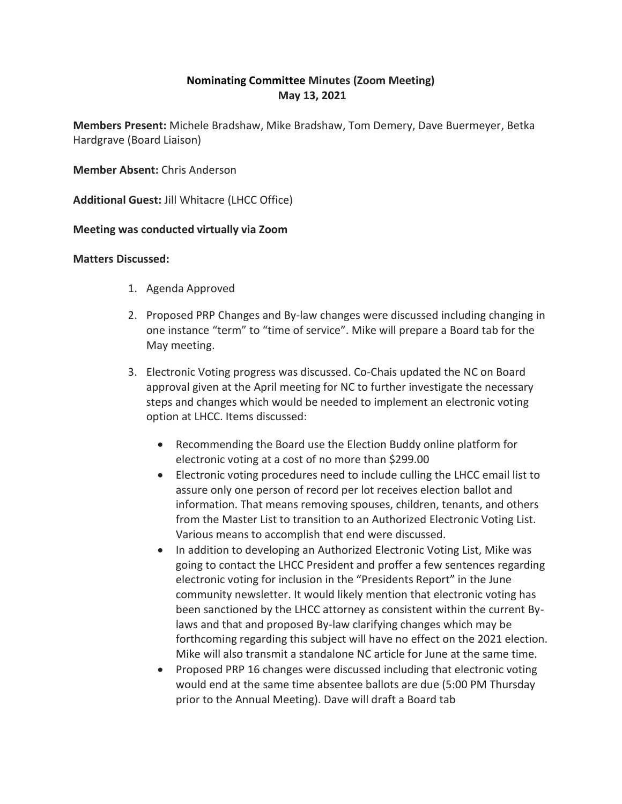#### **Nominating Committee Minutes (Zoom Meeting) May 13, 2021**

**Members Present:** Michele Bradshaw, Mike Bradshaw, Tom Demery, Dave Buermeyer, Betka Hardgrave (Board Liaison)

**Member Absent:** Chris Anderson

**Additional Guest:** Jill Whitacre (LHCC Office)

#### **Meeting was conducted virtually via Zoom**

#### **Matters Discussed:**

- 1. Agenda Approved
- 2. Proposed PRP Changes and By-law changes were discussed including changing in one instance "term" to "time of service". Mike will prepare a Board tab for the May meeting.
- 3. Electronic Voting progress was discussed. Co-Chais updated the NC on Board approval given at the April meeting for NC to further investigate the necessary steps and changes which would be needed to implement an electronic voting option at LHCC. Items discussed:
	- Recommending the Board use the Election Buddy online platform for electronic voting at a cost of no more than \$299.00
	- Electronic voting procedures need to include culling the LHCC email list to assure only one person of record per lot receives election ballot and information. That means removing spouses, children, tenants, and others from the Master List to transition to an Authorized Electronic Voting List. Various means to accomplish that end were discussed.
	- In addition to developing an Authorized Electronic Voting List, Mike was going to contact the LHCC President and proffer a few sentences regarding electronic voting for inclusion in the "Presidents Report" in the June community newsletter. It would likely mention that electronic voting has been sanctioned by the LHCC attorney as consistent within the current Bylaws and that and proposed By-law clarifying changes which may be forthcoming regarding this subject will have no effect on the 2021 election. Mike will also transmit a standalone NC article for June at the same time.
	- Proposed PRP 16 changes were discussed including that electronic voting would end at the same time absentee ballots are due (5:00 PM Thursday prior to the Annual Meeting). Dave will draft a Board tab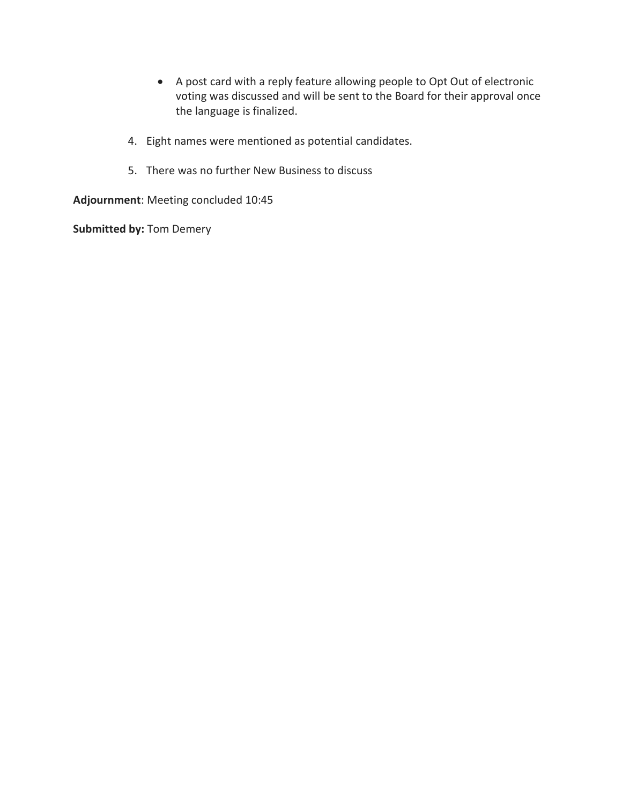- A post card with a reply feature allowing people to Opt Out of electronic voting was discussed and will be sent to the Board for their approval once the language is finalized.
- 4. Eight names were mentioned as potential candidates.
- 5. There was no further New Business to discuss

**Adjournment**: Meeting concluded 10:45

**Submitted by:** Tom Demery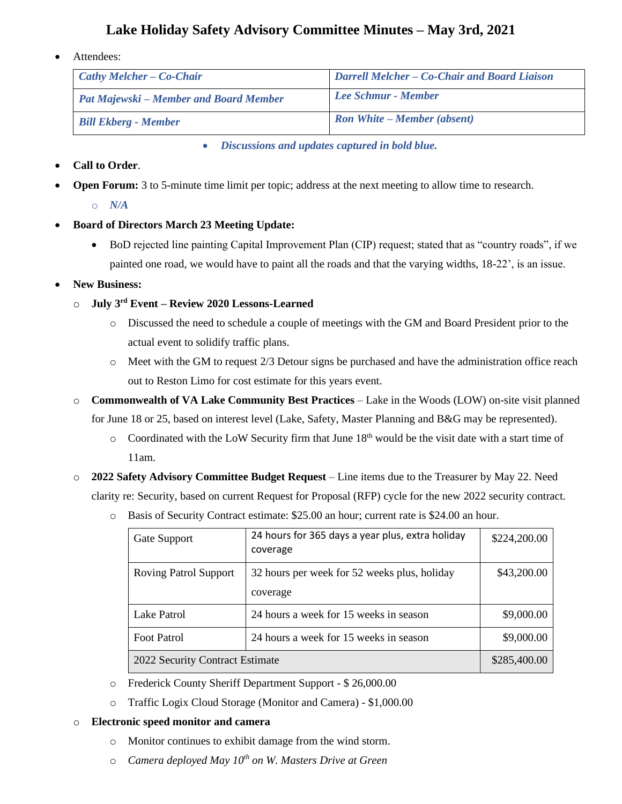#### **Lake Holiday Safety Advisory Committee Minutes – May 3rd, 2021**

Attendees:

| $\int$ Cathy Melcher – Co-Chair               | <b>Darrell Melcher – Co-Chair and Board Liaison</b> |
|-----------------------------------------------|-----------------------------------------------------|
| <b>Pat Majewski – Member and Board Member</b> | Lee Schmur - Member                                 |
| <b>Bill Ekberg - Member</b>                   | <b>Ron White – Member (absent)</b>                  |

• *Discussions and updates captured in bold blue.*

#### • **Call to Order**.

- **Open Forum:** 3 to 5-minute time limit per topic; address at the next meeting to allow time to research.
	- o *N/A*
- **Board of Directors March 23 Meeting Update:**
	- BoD rejected line painting Capital Improvement Plan (CIP) request; stated that as "country roads", if we painted one road, we would have to paint all the roads and that the varying widths, 18-22', is an issue.

#### • **New Business:**

- o **July 3rd Event – Review 2020 Lessons-Learned**
	- o Discussed the need to schedule a couple of meetings with the GM and Board President prior to the actual event to solidify traffic plans.
	- $\circ$  Meet with the GM to request 2/3 Detour signs be purchased and have the administration office reach out to Reston Limo for cost estimate for this years event.
- o **Commonwealth of VA Lake Community Best Practices** Lake in the Woods (LOW) on-site visit planned for June 18 or 25, based on interest level (Lake, Safety, Master Planning and B&G may be represented).
	- $\circ$  Coordinated with the LoW Security firm that June 18<sup>th</sup> would be the visit date with a start time of 11am.
- o **2022 Safety Advisory Committee Budget Request** Line items due to the Treasurer by May 22. Need clarity re: Security, based on current Request for Proposal (RFP) cycle for the new 2022 security contract.
	- o Basis of Security Contract estimate: \$25.00 an hour; current rate is \$24.00 an hour.

| Gate Support                    | 24 hours for 365 days a year plus, extra holiday<br>coverage | \$224,200.00 |
|---------------------------------|--------------------------------------------------------------|--------------|
| <b>Roving Patrol Support</b>    | 32 hours per week for 52 weeks plus, holiday<br>coverage     | \$43,200.00  |
| Lake Patrol                     | 24 hours a week for 15 weeks in season                       | \$9,000.00   |
| <b>Foot Patrol</b>              | 24 hours a week for 15 weeks in season                       | \$9,000.00   |
| 2022 Security Contract Estimate | \$285,400.00                                                 |              |

- o Frederick County Sheriff Department Support \$ 26,000.00
- o Traffic Logix Cloud Storage (Monitor and Camera) \$1,000.00

#### o **Electronic speed monitor and camera**

- o Monitor continues to exhibit damage from the wind storm.
- o *Camera deployed May 10th on W. Masters Drive at Green*